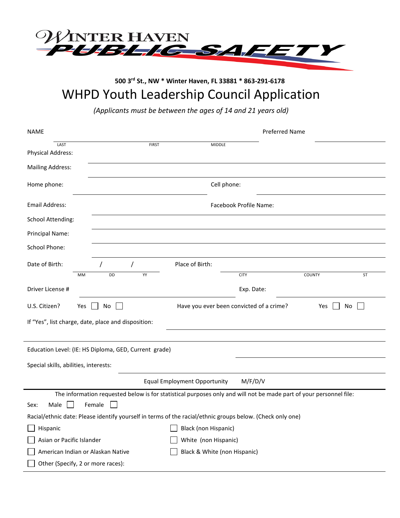

# **500 3rd St., NW \* Winter Haven, FL 33881 \* 863-291-6178** WHPD Youth Leadership Council Application

*(Applicants must be between the ages of 14 and 21 years old)* 

| <b>NAME</b>                                                                                                        | Preferred Name                                              |                              |             |        |    |
|--------------------------------------------------------------------------------------------------------------------|-------------------------------------------------------------|------------------------------|-------------|--------|----|
| LAST<br>Physical Address:                                                                                          | <b>FIRST</b>                                                | <b>MIDDLE</b>                |             |        |    |
| <b>Mailing Address:</b>                                                                                            |                                                             |                              |             |        |    |
| Home phone:                                                                                                        |                                                             | Cell phone:                  |             |        |    |
| Email Address:                                                                                                     | Facebook Profile Name:                                      |                              |             |        |    |
| School Attending:                                                                                                  |                                                             |                              |             |        |    |
| Principal Name:                                                                                                    |                                                             |                              |             |        |    |
| <b>School Phone:</b>                                                                                               |                                                             |                              |             |        |    |
| Date of Birth:                                                                                                     | $\prime$                                                    | Place of Birth:              |             |        |    |
| MM                                                                                                                 | DD<br>YY                                                    |                              | <b>CITY</b> | COUNTY | ST |
| Driver License #                                                                                                   |                                                             |                              | Exp. Date:  |        |    |
| U.S. Citizen?<br>Yes                                                                                               | Have you ever been convicted of a crime?<br>No<br>Yes<br>No |                              |             |        |    |
| If "Yes", list charge, date, place and disposition:                                                                |                                                             |                              |             |        |    |
|                                                                                                                    |                                                             |                              |             |        |    |
| Education Level: (IE: HS Diploma, GED, Current grade)                                                              |                                                             |                              |             |        |    |
| Special skills, abilities, interests:                                                                              |                                                             |                              |             |        |    |
| <b>Equal Employment Opportunity</b><br>M/F/D/V                                                                     |                                                             |                              |             |        |    |
| The information requested below is for statistical purposes only and will not be made part of your personnel file: |                                                             |                              |             |        |    |
| Female<br>Male<br>Sex:                                                                                             |                                                             |                              |             |        |    |
| Racial/ethnic date: Please identify yourself in terms of the racial/ethnic groups below. (Check only one)          |                                                             |                              |             |        |    |
| Hispanic                                                                                                           |                                                             | Black (non Hispanic)         |             |        |    |
| Asian or Pacific Islander                                                                                          |                                                             | White (non Hispanic)         |             |        |    |
| American Indian or Alaskan Native                                                                                  |                                                             | Black & White (non Hispanic) |             |        |    |
| Other (Specify, 2 or more races):                                                                                  |                                                             |                              |             |        |    |